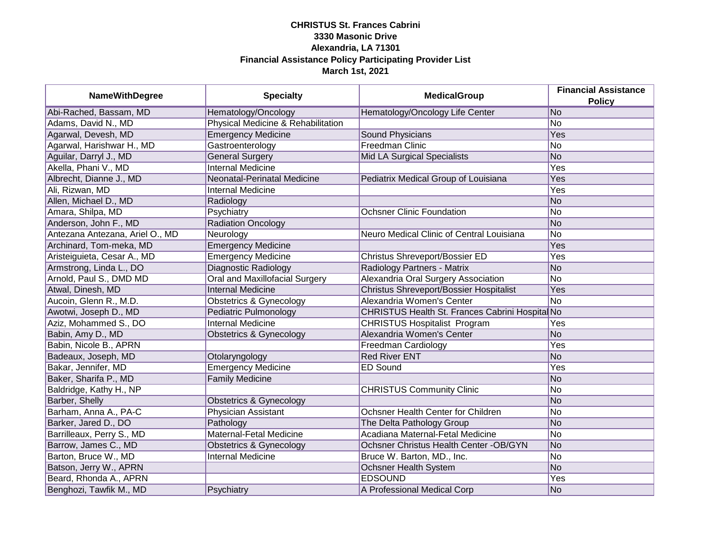| <b>NameWithDegree</b>           | <b>Specialty</b>                   | <b>MedicalGroup</b>                            | <b>Financial Assistance</b><br><b>Policy</b> |
|---------------------------------|------------------------------------|------------------------------------------------|----------------------------------------------|
| Abi-Rached, Bassam, MD          | Hematology/Oncology                | Hematology/Oncology Life Center                | No.                                          |
| Adams, David N., MD             | Physical Medicine & Rehabilitation |                                                | No                                           |
| Agarwal, Devesh, MD             | <b>Emergency Medicine</b>          | Sound Physicians                               | Yes                                          |
| Agarwal, Harishwar H., MD       | Gastroenterology                   | <b>Freedman Clinic</b>                         | No                                           |
| Aguilar, Darryl J., MD          | <b>General Surgery</b>             | <b>Mid LA Surgical Specialists</b>             | No                                           |
| Akella, Phani V., MD            | <b>Internal Medicine</b>           |                                                | Yes                                          |
| Albrecht, Dianne J., MD         | Neonatal-Perinatal Medicine        | Pediatrix Medical Group of Louisiana           | <b>Yes</b>                                   |
| Ali, Rizwan, MD                 | <b>Internal Medicine</b>           |                                                | Yes                                          |
| Allen, Michael D., MD           | Radiology                          |                                                | No                                           |
| Amara, Shilpa, MD               | Psychiatry                         | <b>Ochsner Clinic Foundation</b>               | No                                           |
| Anderson, John F., MD           | <b>Radiation Oncology</b>          |                                                | No                                           |
| Antezana Antezana, Ariel O., MD | Neurology                          | Neuro Medical Clinic of Central Louisiana      | No                                           |
| Archinard, Tom-meka, MD         | <b>Emergency Medicine</b>          |                                                | Yes                                          |
| Aristeiguieta, Cesar A., MD     | <b>Emergency Medicine</b>          | Christus Shreveport/Bossier ED                 | Yes                                          |
| Armstrong, Linda L., DO         | Diagnostic Radiology               | Radiology Partners - Matrix                    | No                                           |
| Arnold, Paul S., DMD MD         | Oral and Maxillofacial Surgery     | Alexandria Oral Surgery Association            | No                                           |
| Atwal, Dinesh, MD               | <b>Internal Medicine</b>           | Christus Shreveport/Bossier Hospitalist        | Yes                                          |
| Aucoin, Glenn R., M.D.          | Obstetrics & Gynecology            | Alexandria Women's Center                      | No                                           |
| Awotwi, Joseph D., MD           | Pediatric Pulmonology              | CHRISTUS Health St. Frances Cabrini Hospita No |                                              |
| Aziz, Mohammed S., DO           | <b>Internal Medicine</b>           | <b>CHRISTUS Hospitalist Program</b>            | Yes                                          |
| Babin, Amy D., MD               | <b>Obstetrics &amp; Gynecology</b> | Alexandria Women's Center                      | No                                           |
| Babin, Nicole B., APRN          |                                    | Freedman Cardiology                            | Yes                                          |
| Badeaux, Joseph, MD             | Otolaryngology                     | <b>Red River ENT</b>                           | No                                           |
| Bakar, Jennifer, MD             | <b>Emergency Medicine</b>          | <b>ED Sound</b>                                | Yes                                          |
| Baker, Sharifa P., MD           | <b>Family Medicine</b>             |                                                | No                                           |
| Baldridge, Kathy H., NP         |                                    | <b>CHRISTUS Community Clinic</b>               | No                                           |
| Barber, Shelly                  | <b>Obstetrics &amp; Gynecology</b> |                                                | No                                           |
| Barham, Anna A., PA-C           | <b>Physician Assistant</b>         | Ochsner Health Center for Children             | No                                           |
| Barker, Jared D., DO            | Pathology                          | The Delta Pathology Group                      | No                                           |
| Barrilleaux, Perry S., MD       | Maternal-Fetal Medicine            | Acadiana Maternal-Fetal Medicine               | No                                           |
| Barrow, James C., MD            | <b>Obstetrics &amp; Gynecology</b> | Ochsner Christus Health Center -OB/GYN         | No                                           |
| Barton, Bruce W., MD            | <b>Internal Medicine</b>           | Bruce W. Barton, MD., Inc.                     | No                                           |
| Batson, Jerry W., APRN          |                                    | <b>Ochsner Health System</b>                   | No                                           |
| Beard, Rhonda A., APRN          |                                    | <b>EDSOUND</b>                                 | <b>Yes</b>                                   |
| Benghozi, Tawfik M., MD         | Psychiatry                         | A Professional Medical Corp                    | No                                           |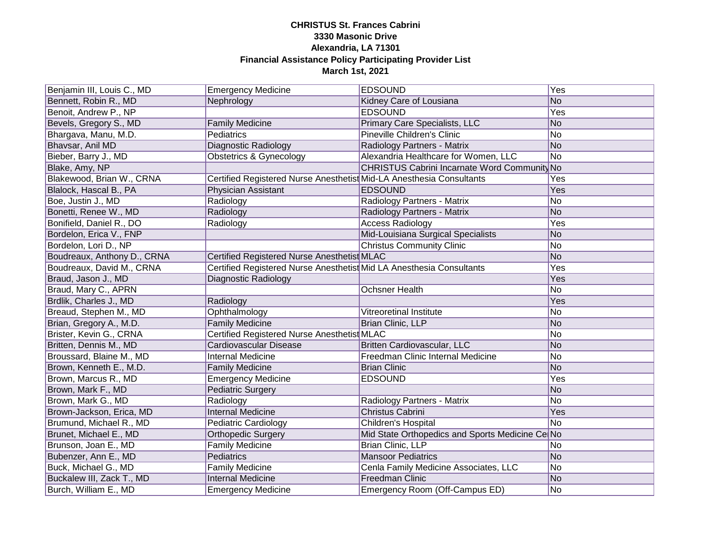| Benjamin III, Louis C., MD  | <b>Emergency Medicine</b>                                            | <b>EDSOUND</b>                                  | $\overline{Yes}$ |
|-----------------------------|----------------------------------------------------------------------|-------------------------------------------------|------------------|
| Bennett, Robin R., MD       | Nephrology                                                           | Kidney Care of Lousiana                         | No               |
| Benoit, Andrew P., NP       |                                                                      | <b>EDSOUND</b>                                  | <b>Yes</b>       |
| Bevels, Gregory S., MD      | <b>Family Medicine</b>                                               | Primary Care Specialists, LLC                   | No               |
| Bhargava, Manu, M.D.        | Pediatrics                                                           | <b>Pineville Children's Clinic</b>              | No               |
| Bhavsar, Anil MD            | <b>Diagnostic Radiology</b>                                          | Radiology Partners - Matrix                     | No               |
| Bieber, Barry J., MD        | <b>Obstetrics &amp; Gynecology</b>                                   | Alexandria Healthcare for Women, LLC            | No               |
| Blake, Amy, NP              |                                                                      | CHRISTUS Cabrini Incarnate Word Community No    |                  |
| Blakewood, Brian W., CRNA   | Certified Registered Nurse Anesthetist Mid-LA Anesthesia Consultants |                                                 | Yes              |
| Blalock, Hascal B., PA      | Physician Assistant                                                  | <b>EDSOUND</b>                                  | Yes              |
| Boe, Justin J., MD          | Radiology                                                            | Radiology Partners - Matrix                     | No               |
| Bonetti, Renee W., MD       | Radiology                                                            | Radiology Partners - Matrix                     | No               |
| Bonifield, Daniel R., DO    | Radiology                                                            | <b>Access Radiology</b>                         | Yes              |
| Bordelon, Erica V., FNP     |                                                                      | Mid-Louisiana Surgical Specialists              | No               |
| Bordelon, Lori D., NP       |                                                                      | <b>Christus Community Clinic</b>                | No.              |
| Boudreaux, Anthony D., CRNA | Certified Registered Nurse Anesthetist MLAC                          |                                                 | No               |
| Boudreaux, David M., CRNA   | Certified Registered Nurse Anesthetist Mid LA Anesthesia Consultants |                                                 | Yes              |
| Braud, Jason J., MD         | Diagnostic Radiology                                                 |                                                 | Yes              |
| Braud, Mary C., APRN        |                                                                      | <b>Ochsner Health</b>                           | No               |
| Brdlik, Charles J., MD      | Radiology                                                            |                                                 | Yes              |
| Breaud, Stephen M., MD      | Ophthalmology                                                        | Vitreoretinal Institute                         | No               |
| Brian, Gregory A., M.D.     | <b>Family Medicine</b>                                               | Brian Clinic, LLP                               | No               |
| Brister, Kevin G., CRNA     | Certified Registered Nurse Anesthetist MLAC                          |                                                 | No               |
| Britten, Dennis M., MD      | Cardiovascular Disease                                               | Britten Cardiovascular, LLC                     | No               |
| Broussard, Blaine M., MD    | <b>Internal Medicine</b>                                             | Freedman Clinic Internal Medicine               | No               |
| Brown, Kenneth E., M.D.     | <b>Family Medicine</b>                                               | <b>Brian Clinic</b>                             | No               |
| Brown, Marcus R., MD        | <b>Emergency Medicine</b>                                            | <b>EDSOUND</b>                                  | Yes              |
| Brown, Mark F., MD          | <b>Pediatric Surgery</b>                                             |                                                 | No               |
| Brown, Mark G., MD          | Radiology                                                            | Radiology Partners - Matrix                     | No.              |
| Brown-Jackson, Erica, MD    | <b>Internal Medicine</b>                                             | Christus Cabrini                                | Yes              |
| Brumund, Michael R., MD     | <b>Pediatric Cardiology</b>                                          | Children's Hospital                             | No               |
| Brunet, Michael E., MD      | <b>Orthopedic Surgery</b>                                            | Mid State Orthopedics and Sports Medicine Ce No |                  |
| Brunson, Joan E., MD        | <b>Family Medicine</b>                                               | <b>Brian Clinic, LLP</b>                        | No               |
| Bubenzer, Ann E., MD        | Pediatrics                                                           | <b>Mansoor Pediatrics</b>                       | No               |
| Buck, Michael G., MD        | <b>Family Medicine</b>                                               | Cenla Family Medicine Associates, LLC           | No               |
| Buckalew III, Zack T., MD   | <b>Internal Medicine</b>                                             | <b>Freedman Clinic</b>                          | No               |
| Burch, William E., MD       | <b>Emergency Medicine</b>                                            | Emergency Room (Off-Campus ED)                  | <b>No</b>        |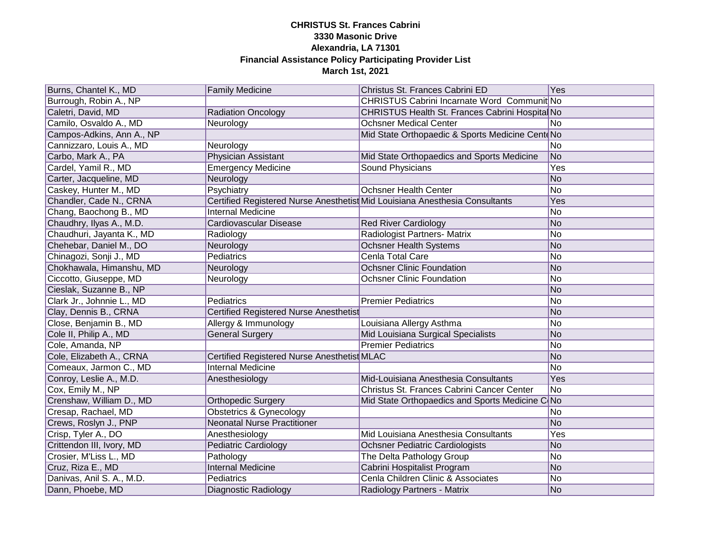| Burns, Chantel K., MD     | <b>Family Medicine</b>                      | Christus St. Frances Cabrini ED                                             | <b>Yes</b>               |
|---------------------------|---------------------------------------------|-----------------------------------------------------------------------------|--------------------------|
| Burrough, Robin A., NP    |                                             | CHRISTUS Cabrini Incarnate Word Communit No                                 |                          |
| Caletri, David, MD        | <b>Radiation Oncology</b>                   | CHRISTUS Health St. Frances Cabrini Hospital No                             |                          |
| Camilo, Osvaldo A., MD    | Neurology                                   | <b>Ochsner Medical Center</b>                                               | No.                      |
| Campos-Adkins, Ann A., NP |                                             | Mid State Orthopaedic & Sports Medicine CenteNo                             |                          |
| Cannizzaro, Louis A., MD  | Neurology                                   |                                                                             | No.                      |
| Carbo, Mark A., PA        | <b>Physician Assistant</b>                  | Mid State Orthopaedics and Sports Medicine                                  | No                       |
| Cardel, Yamil R., MD      | <b>Emergency Medicine</b>                   | Sound Physicians                                                            | Yes                      |
| Carter, Jacqueline, MD    | Neurology                                   |                                                                             | No                       |
| Caskey, Hunter M., MD     | Psychiatry                                  | <b>Ochsner Health Center</b>                                                | No                       |
| Chandler, Cade N., CRNA   |                                             | Certified Registered Nurse Anesthetist Mid Louisiana Anesthesia Consultants | Yes                      |
| Chang, Baochong B., MD    | <b>Internal Medicine</b>                    |                                                                             | No                       |
| Chaudhry, Ilyas A., M.D.  | Cardiovascular Disease                      | <b>Red River Cardiology</b>                                                 | No                       |
| Chaudhuri, Jayanta K., MD | Radiology                                   | Radiologist Partners- Matrix                                                | No                       |
| Chehebar, Daniel M., DO   | Neurology                                   | Ochsner Health Systems                                                      | No                       |
| Chinagozi, Sonji J., MD   | Pediatrics                                  | Cenla Total Care                                                            | lNo                      |
| Chokhawala, Himanshu, MD  | Neurology                                   | <b>Ochsner Clinic Foundation</b>                                            | <b>No</b>                |
| Ciccotto, Giuseppe, MD    | Neurology                                   | <b>Ochsner Clinic Foundation</b>                                            | No                       |
| Cieslak, Suzanne B., NP   |                                             |                                                                             | <b>No</b>                |
| Clark Jr., Johnnie L., MD | Pediatrics                                  | <b>Premier Pediatrics</b>                                                   | No                       |
| Clay, Dennis B., CRNA     | Certified Registered Nurse Anesthetist      |                                                                             | No                       |
| Close, Benjamin B., MD    | Allergy & Immunology                        | Louisiana Allergy Asthma                                                    | No                       |
| Cole II, Philip A., MD    | <b>General Surgery</b>                      | Mid Louisiana Surgical Specialists                                          | No                       |
| Cole, Amanda, NP          |                                             | <b>Premier Pediatrics</b>                                                   | No                       |
| Cole, Elizabeth A., CRNA  | Certified Registered Nurse Anesthetist MLAC |                                                                             | No                       |
| Comeaux, Jarmon C., MD    | Internal Medicine                           |                                                                             | No                       |
| Conroy, Leslie A., M.D.   | Anesthesiology                              | Mid-Louisiana Anesthesia Consultants                                        | Yes                      |
| Cox, Emily M., NP         |                                             | Christus St. Frances Cabrini Cancer Center                                  | No                       |
| Crenshaw, William D., MD  | <b>Orthopedic Surgery</b>                   | Mid State Orthopaedics and Sports Medicine C No                             |                          |
| Cresap, Rachael, MD       | Obstetrics & Gynecology                     |                                                                             | No.                      |
| Crews, Roslyn J., PNP     | <b>Neonatal Nurse Practitioner</b>          |                                                                             | No                       |
| Crisp, Tyler A., DO       | Anesthesiology                              | Mid Louisiana Anesthesia Consultants                                        | Yes                      |
| Crittendon III, Ivory, MD | Pediatric Cardiology                        | <b>Ochsner Pediatric Cardiologists</b>                                      | No                       |
| Crosier, M'Liss L., MD    | Pathology                                   | The Delta Pathology Group                                                   | No                       |
| Cruz, Riza E., MD         | <b>Internal Medicine</b>                    | Cabrini Hospitalist Program                                                 | No                       |
| Danivas, Anil S. A., M.D. | <b>Pediatrics</b>                           | Cenla Children Clinic & Associates                                          | $\overline{\textsf{No}}$ |
| Dann, Phoebe, MD          | Diagnostic Radiology                        | Radiology Partners - Matrix                                                 | <b>No</b>                |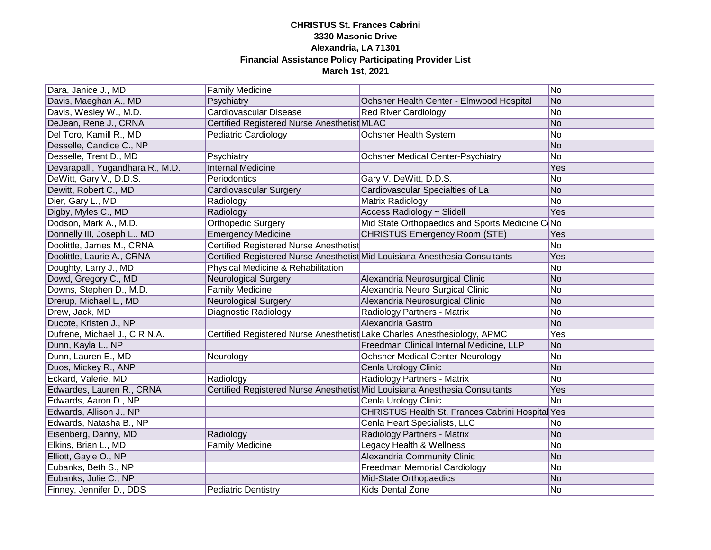| Dara, Janice J., MD              | <b>Family Medicine</b>                                                   |                                                                             | No             |
|----------------------------------|--------------------------------------------------------------------------|-----------------------------------------------------------------------------|----------------|
| Davis, Maeghan A., MD            | Psychiatry                                                               | Ochsner Health Center - Elmwood Hospital                                    | No             |
| Davis, Wesley W., M.D.           | <b>Cardiovascular Disease</b>                                            | <b>Red River Cardiology</b>                                                 | No             |
| DeJean, Rene J., CRNA            | Certified Registered Nurse Anesthetist MLAC                              |                                                                             | No             |
| Del Toro, Kamill R., MD          | <b>Pediatric Cardiology</b>                                              | <b>Ochsner Health System</b>                                                | No             |
| Desselle, Candice C., NP         |                                                                          |                                                                             | No             |
| Desselle, Trent D., MD           | Psychiatry                                                               | <b>Ochsner Medical Center-Psychiatry</b>                                    | No             |
| Devarapalli, Yugandhara R., M.D. | <b>Internal Medicine</b>                                                 |                                                                             | Yes            |
| DeWitt, Gary V., D.D.S.          | Periodontics                                                             | Gary V. DeWitt, D.D.S.                                                      | No             |
| Dewitt, Robert C., MD            | <b>Cardiovascular Surgery</b>                                            | Cardiovascular Specialties of La                                            | No             |
| Dier, Gary L., MD                | Radiology                                                                | Matrix Radiology                                                            | No             |
| Digby, Myles C., MD              | Radiology                                                                | Access Radiology ~ Slidell                                                  | Yes            |
| Dodson, Mark A., M.D.            | <b>Orthopedic Surgery</b>                                                | Mid State Orthopaedics and Sports Medicine C No                             |                |
| Donnelly III, Joseph L., MD      | Emergency Medicine                                                       | <b>CHRISTUS Emergency Room (STE)</b>                                        | Yes            |
| Doolittle, James M., CRNA        | <b>Certified Registered Nurse Anesthetist</b>                            |                                                                             | No.            |
| Doolittle, Laurie A., CRNA       |                                                                          | Certified Registered Nurse Anesthetist Mid Louisiana Anesthesia Consultants | Yes            |
| Doughty, Larry J., MD            | Physical Medicine & Rehabilitation                                       |                                                                             | No             |
| Dowd, Gregory C., MD             | <b>Neurological Surgery</b>                                              | Alexandria Neurosurgical Clinic                                             | <b>No</b>      |
| Downs, Stephen D., M.D.          | <b>Family Medicine</b>                                                   | Alexandria Neuro Surgical Clinic                                            | N <sub>o</sub> |
| Drerup, Michael L., MD           | <b>Neurological Surgery</b>                                              | Alexandria Neurosurgical Clinic                                             | No             |
| Drew, Jack, MD                   | Diagnostic Radiology                                                     | Radiology Partners - Matrix                                                 | No             |
| Ducote, Kristen J., NP           |                                                                          | Alexandria Gastro                                                           | No             |
| Dufrene, Michael J., C.R.N.A.    | Certified Registered Nurse Anesthetist Lake Charles Anesthesiology, APMC |                                                                             | Yes            |
| Dunn, Kayla L., NP               |                                                                          | Freedman Clinical Internal Medicine, LLP                                    | No             |
| Dunn, Lauren E., MD              | Neurology                                                                | <b>Ochsner Medical Center-Neurology</b>                                     | No             |
| Duos, Mickey R., ANP             |                                                                          | Cenla Urology Clinic                                                        | No             |
| Eckard, Valerie, MD              | Radiology                                                                | Radiology Partners - Matrix                                                 | No             |
| Edwardes, Lauren R., CRNA        |                                                                          | Certified Registered Nurse Anesthetist Mid Louisiana Anesthesia Consultants | Yes            |
| Edwards, Aaron D., NP            |                                                                          | Cenla Urology Clinic                                                        | No             |
| Edwards, Allison J., NP          |                                                                          | CHRISTUS Health St. Frances Cabrini Hospital Yes                            |                |
| Edwards, Natasha B., NP          |                                                                          | Cenla Heart Specialists, LLC                                                | No             |
| Eisenberg, Danny, MD             | Radiology                                                                | Radiology Partners - Matrix                                                 | No             |
| Elkins, Brian L., MD             | <b>Family Medicine</b>                                                   | Legacy Health & Wellness                                                    | No             |
| Elliott, Gayle O., NP            |                                                                          | <b>Alexandria Community Clinic</b>                                          | No             |
| Eubanks, Beth S., NP             |                                                                          | <b>Freedman Memorial Cardiology</b>                                         | No             |
| Eubanks, Julie C., NP            |                                                                          | Mid-State Orthopaedics                                                      | No             |
| Finney, Jennifer D., DDS         | <b>Pediatric Dentistry</b>                                               | <b>Kids Dental Zone</b>                                                     | <b>No</b>      |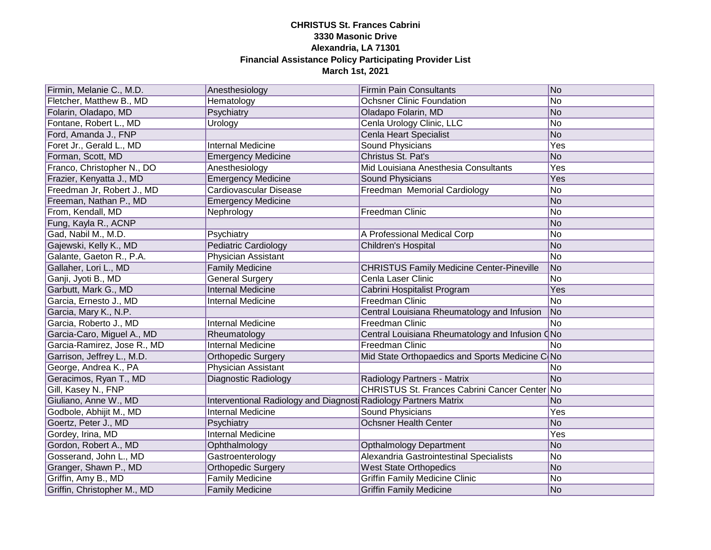| Firmin, Melanie C., M.D.    | Anesthesiology                                                  | <b>Firmin Pain Consultants</b>                   | No                       |
|-----------------------------|-----------------------------------------------------------------|--------------------------------------------------|--------------------------|
| Fletcher, Matthew B., MD    | Hematology                                                      | <b>Ochsner Clinic Foundation</b>                 | No                       |
| Folarin, Oladapo, MD        | Psychiatry                                                      | Oladapo Folarin, MD                              | No                       |
| Fontane, Robert L., MD      | Urology                                                         | Cenla Urology Clinic, LLC                        | No.                      |
| Ford, Amanda J., FNP        |                                                                 | Cenla Heart Specialist                           | No                       |
| Foret Jr., Gerald L., MD    | <b>Internal Medicine</b>                                        | <b>Sound Physicians</b>                          | Yes                      |
| Forman, Scott, MD           | <b>Emergency Medicine</b>                                       | Christus St. Pat's                               | No                       |
| Franco, Christopher N., DO  | Anesthesiology                                                  | Mid Louisiana Anesthesia Consultants             | Yes                      |
| Frazier, Kenyatta J., MD    | <b>Emergency Medicine</b>                                       | Sound Physicians                                 | Yes                      |
| Freedman Jr, Robert J., MD  | Cardiovascular Disease                                          | Freedman Memorial Cardiology                     | No                       |
| Freeman, Nathan P., MD      | <b>Emergency Medicine</b>                                       |                                                  | No                       |
| From, Kendall, MD           | Nephrology                                                      | Freedman Clinic                                  | No                       |
| Fung, Kayla R., ACNP        |                                                                 |                                                  | No                       |
| Gad, Nabil M., M.D.         | Psychiatry                                                      | A Professional Medical Corp                      | No                       |
| Gajewski, Kelly K., MD      | <b>Pediatric Cardiology</b>                                     | Children's Hospital                              | No                       |
| Galante, Gaeton R., P.A.    | Physician Assistant                                             |                                                  | No                       |
| Gallaher, Lori L., MD       | <b>Family Medicine</b>                                          | <b>CHRISTUS Family Medicine Center-Pineville</b> | No                       |
| Ganji, Jyoti B., MD         | <b>General Surgery</b>                                          | Cenla Laser Clinic                               | No                       |
| Garbutt, Mark G., MD        | <b>Internal Medicine</b>                                        | Cabrini Hospitalist Program                      | Yes                      |
| Garcia, Ernesto J., MD      | <b>Internal Medicine</b>                                        | Freedman Clinic                                  | No                       |
| Garcia, Mary K., N.P.       |                                                                 | Central Louisiana Rheumatology and Infusion      | No                       |
| Garcia, Roberto J., MD      | Internal Medicine                                               | Freedman Clinic                                  | No.                      |
| Garcia-Caro, Miguel A., MD  | Rheumatology                                                    | Central Louisiana Rheumatology and Infusion CNo  |                          |
| Garcia-Ramirez, Jose R., MD | <b>Internal Medicine</b>                                        | Freedman Clinic                                  | No                       |
| Garrison, Jeffrey L., M.D.  | <b>Orthopedic Surgery</b>                                       | Mid State Orthopaedics and Sports Medicine C No  |                          |
| George, Andrea K., PA       | Physician Assistant                                             |                                                  | No                       |
| Geracimos, Ryan T., MD      | <b>Diagnostic Radiology</b>                                     | Radiology Partners - Matrix                      | No                       |
| Gill, Kasey N., FNP         |                                                                 | CHRISTUS St. Frances Cabrini Cancer Center No    |                          |
| Giuliano, Anne W., MD       | Interventional Radiology and Diagnost Radiology Partners Matrix |                                                  | <b>No</b>                |
| Godbole, Abhijit M., MD     | <b>Internal Medicine</b>                                        | Sound Physicians                                 | Yes                      |
| Goertz, Peter J., MD        | Psychiatry                                                      | Ochsner Health Center                            | No                       |
| Gordey, Irina, MD           | <b>Internal Medicine</b>                                        |                                                  | Yes                      |
| Gordon, Robert A., MD       | Ophthalmology                                                   | <b>Opthalmology Department</b>                   | No                       |
| Gosserand, John L., MD      | Gastroenterology                                                | Alexandria Gastrointestinal Specialists          | No                       |
| Granger, Shawn P., MD       | <b>Orthopedic Surgery</b>                                       | <b>West State Orthopedics</b>                    | No                       |
| Griffin, Amy B., MD         | <b>Family Medicine</b>                                          | <b>Griffin Family Medicine Clinic</b>            | No                       |
| Griffin, Christopher M., MD | <b>Family Medicine</b>                                          | <b>Griffin Family Medicine</b>                   | $\overline{\textsf{No}}$ |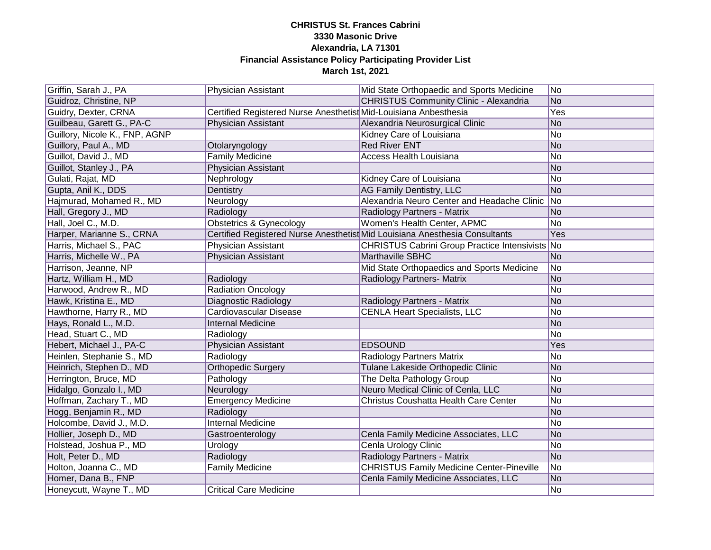| Griffin, Sarah J., PA          | <b>Physician Assistant</b>                                       | Mid State Orthopaedic and Sports Medicine                                   | No              |
|--------------------------------|------------------------------------------------------------------|-----------------------------------------------------------------------------|-----------------|
| Guidroz, Christine, NP         |                                                                  | <b>CHRISTUS Community Clinic - Alexandria</b>                               | $\overline{No}$ |
| Guidry, Dexter, CRNA           | Certified Registered Nurse Anesthetist Mid-Louisiana Anbesthesia |                                                                             | Yes             |
| Guilbeau, Garett G., PA-C      | <b>Physician Assistant</b>                                       | Alexandria Neurosurgical Clinic                                             | No              |
| Guillory, Nicole K., FNP, AGNP |                                                                  | Kidney Care of Louisiana                                                    | No              |
| Guillory, Paul A., MD          | Otolaryngology                                                   | <b>Red River ENT</b>                                                        | No              |
| Guillot, David J., MD          | <b>Family Medicine</b>                                           | <b>Access Health Louisiana</b>                                              | No              |
| Guillot, Stanley J., PA        | <b>Physician Assistant</b>                                       |                                                                             | No              |
| Gulati, Rajat, MD              | Nephrology                                                       | Kidney Care of Louisiana                                                    | No              |
| Gupta, Anil K., DDS            | Dentistry                                                        | AG Family Dentistry, LLC                                                    | No              |
| Hajmurad, Mohamed R., MD       | Neurology                                                        | Alexandria Neuro Center and Headache Clinic No                              |                 |
| Hall, Gregory J., MD           | Radiology                                                        | Radiology Partners - Matrix                                                 | No              |
| Hall, Joel C., M.D.            | <b>Obstetrics &amp; Gynecology</b>                               | Women's Health Center, APMC                                                 | No              |
| Harper, Marianne S., CRNA      |                                                                  | Certified Registered Nurse Anesthetist Mid Louisiana Anesthesia Consultants | Yes             |
| Harris, Michael S., PAC        | Physician Assistant                                              | CHRISTUS Cabrini Group Practice Intensivists No                             |                 |
| Harris, Michelle W., PA        | <b>Physician Assistant</b>                                       | Marthaville SBHC                                                            | N <sub>o</sub>  |
| Harrison, Jeanne, NP           |                                                                  | Mid State Orthopaedics and Sports Medicine                                  | No              |
| Hartz, William H., MD          | Radiology                                                        | Radiology Partners- Matrix                                                  | No              |
| Harwood, Andrew R., MD         | <b>Radiation Oncology</b>                                        |                                                                             | No              |
| Hawk, Kristina E., MD          | <b>Diagnostic Radiology</b>                                      | Radiology Partners - Matrix                                                 | No              |
| Hawthorne, Harry R., MD        | Cardiovascular Disease                                           | <b>CENLA Heart Specialists, LLC</b>                                         | No              |
| Hays, Ronald L., M.D.          | <b>Internal Medicine</b>                                         |                                                                             | No              |
| Head, Stuart C., MD            | Radiology                                                        |                                                                             | No              |
| Hebert, Michael J., PA-C       | Physician Assistant                                              | <b>EDSOUND</b>                                                              | Yes             |
| Heinlen, Stephanie S., MD      | Radiology                                                        | Radiology Partners Matrix                                                   | No              |
| Heinrich, Stephen D., MD       | <b>Orthopedic Surgery</b>                                        | Tulane Lakeside Orthopedic Clinic                                           | No              |
| Herrington, Bruce, MD          | Pathology                                                        | The Delta Pathology Group                                                   | No              |
| Hidalgo, Gonzalo I., MD        | Neurology                                                        | Neuro Medical Clinic of Cenla, LLC                                          | No              |
| Hoffman, Zachary T., MD        | <b>Emergency Medicine</b>                                        | Christus Coushatta Health Care Center                                       | No              |
| Hogg, Benjamin R., MD          | Radiology                                                        |                                                                             | No              |
| Holcombe, David J., M.D.       | Internal Medicine                                                |                                                                             | No              |
| Hollier, Joseph D., MD         | Gastroenterology                                                 | Cenla Family Medicine Associates, LLC                                       | No              |
| Holstead, Joshua P., MD        | Urology                                                          | Cenla Urology Clinic                                                        | No              |
| Holt, Peter D., MD             | Radiology                                                        | Radiology Partners - Matrix                                                 | No              |
| Holton, Joanna C., MD          | <b>Family Medicine</b>                                           | <b>CHRISTUS Family Medicine Center-Pineville</b>                            | No              |
| Homer, Dana B., FNP            |                                                                  | Cenla Family Medicine Associates, LLC                                       | No              |
| Honeycutt, Wayne T., MD        | <b>Critical Care Medicine</b>                                    |                                                                             | No              |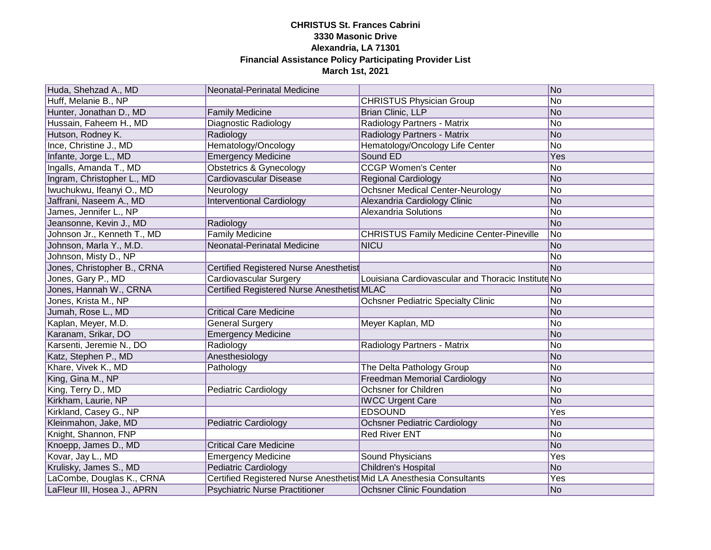| Huda, Shehzad A., MD        | Neonatal-Perinatal Medicine                                          |                                                    | N <sub>o</sub>           |
|-----------------------------|----------------------------------------------------------------------|----------------------------------------------------|--------------------------|
| Huff, Melanie B., NP        |                                                                      | <b>CHRISTUS Physician Group</b>                    | No                       |
| Hunter, Jonathan D., MD     | <b>Family Medicine</b>                                               | <b>Brian Clinic, LLP</b>                           | No                       |
| Hussain, Faheem H., MD      | <b>Diagnostic Radiology</b>                                          | Radiology Partners - Matrix                        | $\overline{\textsf{No}}$ |
| Hutson, Rodney K.           | Radiology                                                            | Radiology Partners - Matrix                        | No                       |
| Ince, Christine J., MD      | Hematology/Oncology                                                  | Hematology/Oncology Life Center                    | No                       |
| Infante, Jorge L., MD       | <b>Emergency Medicine</b>                                            | Sound ED                                           | Yes                      |
| Ingalls, Amanda T., MD      | <b>Obstetrics &amp; Gynecology</b>                                   | <b>CCGP Women's Center</b>                         | No                       |
| Ingram, Christopher L., MD  | <b>Cardiovascular Disease</b>                                        | <b>Regional Cardiology</b>                         | No                       |
| Iwuchukwu, Ifeanyi O., MD   | Neurology                                                            | <b>Ochsner Medical Center-Neurology</b>            | No                       |
| Jaffrani, Naseem A., MD     | <b>Interventional Cardiology</b>                                     | Alexandria Cardiology Clinic                       | No                       |
| James, Jennifer L., NP      |                                                                      | <b>Alexandria Solutions</b>                        | No                       |
| Jeansonne, Kevin J., MD     | Radiology                                                            |                                                    | No                       |
| Johnson Jr., Kenneth T., MD | <b>Family Medicine</b>                                               | <b>CHRISTUS Family Medicine Center-Pineville</b>   | No                       |
| Johnson, Marla Y., M.D.     | Neonatal-Perinatal Medicine                                          | <b>NICU</b>                                        | No                       |
| Johnson, Misty D., NP       |                                                                      |                                                    | No.                      |
| Jones, Christopher B., CRNA | Certified Registered Nurse Anesthetist                               |                                                    | No                       |
| Jones, Gary P., MD          | Cardiovascular Surgery                                               | Louisiana Cardiovascular and Thoracic Institute No |                          |
| Jones, Hannah W., CRNA      | Certified Registered Nurse Anesthetist MLAC                          |                                                    | No                       |
| Jones, Krista M., NP        |                                                                      | <b>Ochsner Pediatric Specialty Clinic</b>          | No                       |
| Jumah, Rose L., MD          | <b>Critical Care Medicine</b>                                        |                                                    | No                       |
| Kaplan, Meyer, M.D.         | <b>General Surgery</b>                                               | Meyer Kaplan, MD                                   | No                       |
| Karanam, Srikar, DO         | <b>Emergency Medicine</b>                                            |                                                    | No                       |
| Karsenti, Jeremie N., DO    | Radiology                                                            | Radiology Partners - Matrix                        | No                       |
| Katz, Stephen P., MD        | Anesthesiology                                                       |                                                    | N <sub>o</sub>           |
| Khare, Vivek K., MD         | Pathology                                                            | The Delta Pathology Group                          | No                       |
| King, Gina M., NP           |                                                                      | <b>Freedman Memorial Cardiology</b>                | No                       |
| King, Terry D., MD          | Pediatric Cardiology                                                 | <b>Ochsner for Children</b>                        | No                       |
| Kirkham, Laurie, NP         |                                                                      | <b>IWCC Urgent Care</b>                            | No                       |
| Kirkland, Casey G., NP      |                                                                      | <b>EDSOUND</b>                                     | Yes                      |
| Kleinmahon, Jake, MD        | <b>Pediatric Cardiology</b>                                          | <b>Ochsner Pediatric Cardiology</b>                | No                       |
| Knight, Shannon, FNP        |                                                                      | <b>Red River ENT</b>                               | No                       |
| Knoepp, James D., MD        | <b>Critical Care Medicine</b>                                        |                                                    | No                       |
| Kovar, Jay L., MD           | <b>Emergency Medicine</b>                                            | <b>Sound Physicians</b>                            | Yes                      |
| Krulisky, James S., MD      | <b>Pediatric Cardiology</b>                                          | Children's Hospital                                | No                       |
| LaCombe, Douglas K., CRNA   | Certified Registered Nurse Anesthetist Mid LA Anesthesia Consultants |                                                    | Yes                      |
| LaFleur III, Hosea J., APRN | <b>Psychiatric Nurse Practitioner</b>                                | <b>Ochsner Clinic Foundation</b>                   | N <sub>o</sub>           |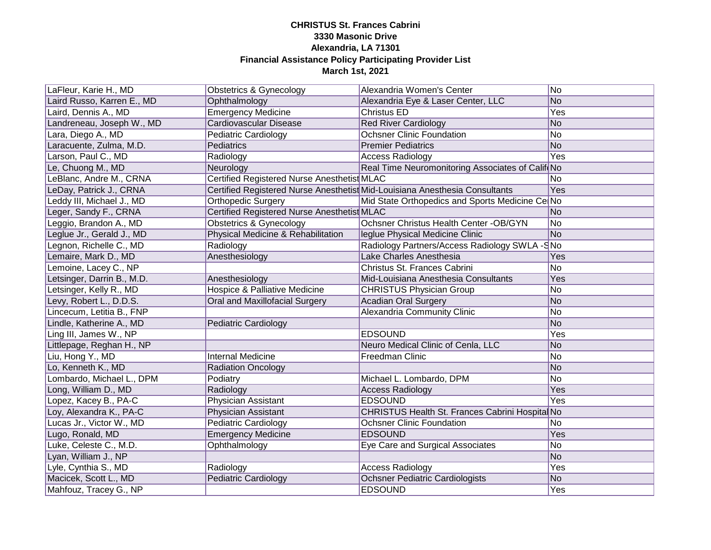| LaFleur, Karie H., MD      | Obstetrics & Gynecology                     | Alexandria Women's Center                                                   | No         |
|----------------------------|---------------------------------------------|-----------------------------------------------------------------------------|------------|
| Laird Russo, Karren E., MD | Ophthalmology                               | Alexandria Eye & Laser Center, LLC                                          | No         |
| Laird, Dennis A., MD       | <b>Emergency Medicine</b>                   | Christus ED                                                                 | Yes        |
| Landreneau, Joseph W., MD  | <b>Cardiovascular Disease</b>               | <b>Red River Cardiology</b>                                                 | No         |
| Lara, Diego A., MD         | <b>Pediatric Cardiology</b>                 | <b>Ochsner Clinic Foundation</b>                                            | No         |
| Laracuente, Zulma, M.D.    | Pediatrics                                  | <b>Premier Pediatrics</b>                                                   | No         |
| Larson, Paul C., MD        | Radiology                                   | <b>Access Radiology</b>                                                     | Yes        |
| Le, Chuong M., MD          | Neurology                                   | Real Time Neuromonitoring Associates of Calif No                            |            |
| LeBlanc, Andre M., CRNA    | Certified Registered Nurse Anesthetist MLAC |                                                                             | No.        |
| LeDay, Patrick J., CRNA    |                                             | Certified Registered Nurse Anesthetist Mid-Louisiana Anesthesia Consultants | Yes        |
| Leddy III, Michael J., MD  | <b>Orthopedic Surgery</b>                   | Mid State Orthopedics and Sports Medicine Ce No                             |            |
| Leger, Sandy F., CRNA      | Certified Registered Nurse Anesthetist MLAC |                                                                             | No         |
| Leggio, Brandon A., MD     | <b>Obstetrics &amp; Gynecology</b>          | Ochsner Christus Health Center - OB/GYN                                     | No         |
| eglue Jr., Gerald J., MD   | Physical Medicine & Rehabilitation          | leglue Physical Medicine Clinic                                             | No         |
| egnon, Richelle C., MD     | Radiology                                   | Radiology Partners/Access Radiology SWLA -SNo                               |            |
| Lemaire, Mark D., MD       | Anesthesiology                              | Lake Charles Anesthesia                                                     | Yes        |
| Lemoine, Lacey C., NP      |                                             | Christus St. Frances Cabrini                                                | No.        |
| Letsinger, Darrin B., M.D. | Anesthesiology                              | Mid-Louisiana Anesthesia Consultants                                        | Yes        |
| Letsinger, Kelly R., MD    | Hospice & Palliative Medicine               | <b>CHRISTUS Physician Group</b>                                             | No         |
| Levy, Robert L., D.D.S.    | Oral and Maxillofacial Surgery              | <b>Acadian Oral Surgery</b>                                                 | No         |
| Lincecum, Letitia B., FNP  |                                             | Alexandria Community Clinic                                                 | No.        |
| Lindle, Katherine A., MD   | <b>Pediatric Cardiology</b>                 |                                                                             | No         |
| Ling III, James W., NP     |                                             | <b>EDSOUND</b>                                                              | Yes        |
| Littlepage, Reghan H., NP  |                                             | Neuro Medical Clinic of Cenla, LLC                                          | No         |
| Liu, Hong Y., MD           | <b>Internal Medicine</b>                    | Freedman Clinic                                                             | No         |
| Lo, Kenneth K., MD         | <b>Radiation Oncology</b>                   |                                                                             | No         |
| Lombardo, Michael L., DPM  | Podiatry                                    | Michael L. Lombardo, DPM                                                    | No         |
| Long, William D., MD       | Radiology                                   | <b>Access Radiology</b>                                                     | Yes        |
| Lopez, Kacey B., PA-C      | Physician Assistant                         | <b>EDSOUND</b>                                                              | Yes        |
| Loy, Alexandra K., PA-C    | Physician Assistant                         | CHRISTUS Health St. Frances Cabrini Hospital No                             |            |
| Lucas Jr., Victor W., MD   | <b>Pediatric Cardiology</b>                 | <b>Ochsner Clinic Foundation</b>                                            | No.        |
| Lugo, Ronald, MD           | <b>Emergency Medicine</b>                   | <b>EDSOUND</b>                                                              | Yes        |
| Luke, Celeste C., M.D.     | Ophthalmology                               | Eye Care and Surgical Associates                                            | No         |
| Lyan, William J., NP       |                                             |                                                                             | No         |
| Lyle, Cynthia S., MD       | Radiology                                   | <b>Access Radiology</b>                                                     | Yes        |
| Macicek, Scott L., MD      | <b>Pediatric Cardiology</b>                 | <b>Ochsner Pediatric Cardiologists</b>                                      | No         |
| Mahfouz, Tracey G., NP     |                                             | <b>EDSOUND</b>                                                              | <b>Yes</b> |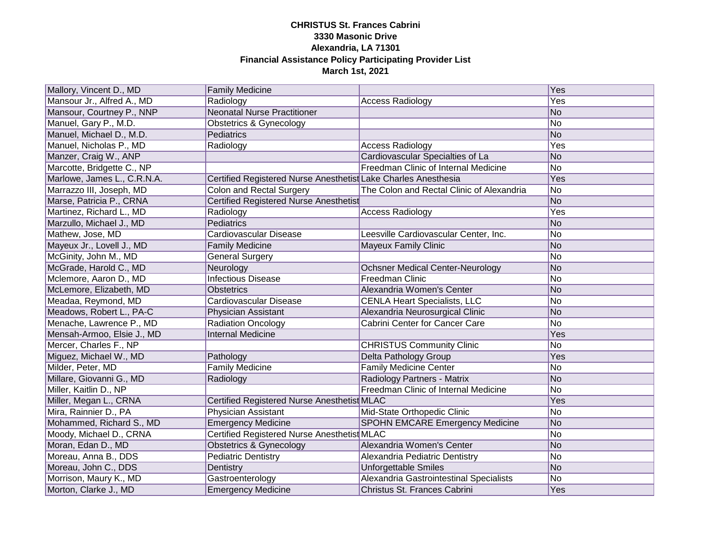| Mallory, Vincent D., MD     | <b>Family Medicine</b>                                         |                                           | Yes |
|-----------------------------|----------------------------------------------------------------|-------------------------------------------|-----|
| Mansour Jr., Alfred A., MD  | Radiology                                                      | <b>Access Radiology</b>                   | Yes |
| Mansour, Courtney P., NNP   | <b>Neonatal Nurse Practitioner</b>                             |                                           | No  |
| Manuel, Gary P., M.D.       | <b>Obstetrics &amp; Gynecology</b>                             |                                           | No  |
| Manuel, Michael D., M.D.    | Pediatrics                                                     |                                           | No  |
| Manuel, Nicholas P., MD     | Radiology                                                      | <b>Access Radiology</b>                   | Yes |
| Manzer, Craig W., ANP       |                                                                | Cardiovascular Specialties of La          | No  |
| Marcotte, Bridgette C., NP  |                                                                | Freedman Clinic of Internal Medicine      | No  |
| Marlowe, James L., C.R.N.A. | Certified Registered Nurse Anesthetist Lake Charles Anesthesia |                                           | Yes |
| Marrazzo III, Joseph, MD    | <b>Colon and Rectal Surgery</b>                                | The Colon and Rectal Clinic of Alexandria | No  |
| Marse, Patricia P., CRNA    | <b>Certified Registered Nurse Anesthetist</b>                  |                                           | No  |
| Martinez, Richard L., MD    | Radiology                                                      | <b>Access Radiology</b>                   | Yes |
| Marzullo, Michael J., MD    | Pediatrics                                                     |                                           | No  |
| Mathew, Jose, MD            | Cardiovascular Disease                                         | Leesville Cardiovascular Center, Inc.     | No  |
| Mayeux Jr., Lovell J., MD   | <b>Family Medicine</b>                                         | Mayeux Family Clinic                      | No  |
| McGinity, John M., MD       | <b>General Surgery</b>                                         |                                           | No  |
| McGrade, Harold C., MD      | Neurology                                                      | <b>Ochsner Medical Center-Neurology</b>   | No  |
| Mclemore, Aaron D., MD      | <b>Infectious Disease</b>                                      | Freedman Clinic                           | No  |
| McLemore, Elizabeth, MD     | Obstetrics                                                     | Alexandria Women's Center                 | No  |
| Meadaa, Reymond, MD         | Cardiovascular Disease                                         | <b>CENLA Heart Specialists, LLC</b>       | No  |
| Meadows, Robert L., PA-C    | Physician Assistant                                            | Alexandria Neurosurgical Clinic           | No  |
| Menache, Lawrence P., MD    | <b>Radiation Oncology</b>                                      | Cabrini Center for Cancer Care            | No  |
| Mensah-Armoo, Elsie J., MD  | <b>Internal Medicine</b>                                       |                                           | Yes |
| Mercer, Charles F., NP      |                                                                | <b>CHRISTUS Community Clinic</b>          | No. |
| Miguez, Michael W., MD      | Pathology                                                      | Delta Pathology Group                     | Yes |
| Milder, Peter, MD           | <b>Family Medicine</b>                                         | <b>Family Medicine Center</b>             | No  |
| Millare, Giovanni G., MD    | Radiology                                                      | Radiology Partners - Matrix               | No  |
| Miller, Kaitlin D., NP      |                                                                | Freedman Clinic of Internal Medicine      | No  |
| Miller, Megan L., CRNA      | Certified Registered Nurse Anesthetist MLAC                    |                                           | Yes |
| Mira, Rainnier D., PA       | Physician Assistant                                            | Mid-State Orthopedic Clinic               | No  |
| Mohammed, Richard S., MD    | <b>Emergency Medicine</b>                                      | <b>SPOHN EMCARE Emergency Medicine</b>    | No  |
| Moody, Michael D., CRNA     | Certified Registered Nurse Anesthetist MLAC                    |                                           | No  |
| Moran, Edan D., MD          | <b>Obstetrics &amp; Gynecology</b>                             | Alexandria Women's Center                 | No  |
| Moreau, Anna B., DDS        | <b>Pediatric Dentistry</b>                                     | Alexandria Pediatric Dentistry            | No  |
| Moreau, John C., DDS        | Dentistry                                                      | <b>Unforgettable Smiles</b>               | No  |
| Morrison, Maury K., MD      | Gastroenterology                                               | Alexandria Gastrointestinal Specialists   | No  |
| Morton, Clarke J., MD       | <b>Emergency Medicine</b>                                      | Christus St. Frances Cabrini              | Yes |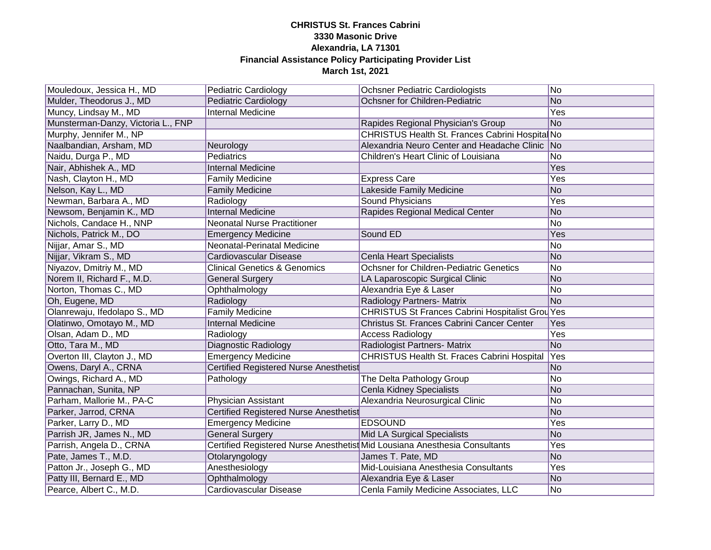| Mouledoux, Jessica H., MD          | <b>Pediatric Cardiology</b>                   | <b>Ochsner Pediatric Cardiologists</b>                                     | N <sub>o</sub> |
|------------------------------------|-----------------------------------------------|----------------------------------------------------------------------------|----------------|
| Mulder, Theodorus J., MD           | <b>Pediatric Cardiology</b>                   | Ochsner for Children-Pediatric                                             | No             |
| Muncy, Lindsay M., MD              | <b>Internal Medicine</b>                      |                                                                            | Yes            |
| Munsterman-Danzy, Victoria L., FNP |                                               | Rapides Regional Physician's Group                                         | No             |
| Murphy, Jennifer M., NP            |                                               | CHRISTUS Health St. Frances Cabrini Hospital No                            |                |
| Naalbandian, Arsham, MD            | Neurology                                     | Alexandria Neuro Center and Headache Clinic No                             |                |
| Naidu, Durga P., MD                | Pediatrics                                    | Children's Heart Clinic of Louisiana                                       | No             |
| Nair, Abhishek A., MD              | Internal Medicine                             |                                                                            | Yes            |
| Nash, Clayton H., MD               | <b>Family Medicine</b>                        | <b>Express Care</b>                                                        | Yes            |
| Nelson, Kay L., MD                 | <b>Family Medicine</b>                        | Lakeside Family Medicine                                                   | No             |
| Newman, Barbara A., MD             | Radiology                                     | Sound Physicians                                                           | Yes            |
| Newsom, Benjamin K., MD            | Internal Medicine                             | Rapides Regional Medical Center                                            | No             |
| Nichols, Candace H., NNP           | <b>Neonatal Nurse Practitioner</b>            |                                                                            | No             |
| Nichols, Patrick M., DO            | <b>Emergency Medicine</b>                     | Sound ED                                                                   | Yes            |
| Nijjar, Amar S., MD                | Neonatal-Perinatal Medicine                   |                                                                            | No             |
| Nijjar, Vikram S., MD              | Cardiovascular Disease                        | <b>Cenla Heart Specialists</b>                                             | No             |
| Niyazov, Dmitriy M., MD            | <b>Clinical Genetics &amp; Genomics</b>       | <b>Ochsner for Children-Pediatric Genetics</b>                             | No             |
| Norem II, Richard F., M.D.         | <b>General Surgery</b>                        | LA Laparoscopic Surgical Clinic                                            | No             |
| Norton, Thomas C., MD              | Ophthalmology                                 | Alexandria Eye & Laser                                                     | No             |
| Oh, Eugene, MD                     | Radiology                                     | Radiology Partners- Matrix                                                 | No             |
| Olanrewaju, Ifedolapo S., MD       | <b>Family Medicine</b>                        | CHRISTUS St Frances Cabrini Hospitalist Grou Yes                           |                |
| Olatinwo, Omotayo M., MD           | Internal Medicine                             | Christus St. Frances Cabrini Cancer Center                                 | Yes            |
| Olsan, Adam D., MD                 | Radiology                                     | <b>Access Radiology</b>                                                    | Yes            |
| Otto, Tara M., MD                  | <b>Diagnostic Radiology</b>                   | Radiologist Partners- Matrix                                               | No             |
| Overton III, Clayton J., MD        | <b>Emergency Medicine</b>                     | CHRISTUS Health St. Fraces Cabrini Hospital                                | Yes            |
| Owens, Daryl A., CRNA              | <b>Certified Registered Nurse Anesthetist</b> |                                                                            | No             |
| Owings, Richard A., MD             | Pathology                                     | The Delta Pathology Group                                                  | No             |
| Pannachan, Sunita, NP              |                                               | Cenla Kidney Specialists                                                   | No             |
| Parham, Mallorie M., PA-C          | Physician Assistant                           | Alexandria Neurosurgical Clinic                                            | No.            |
| Parker, Jarrod, CRNA               | <b>Certified Registered Nurse Anesthetist</b> |                                                                            | No             |
| Parker, Larry D., MD               | <b>Emergency Medicine</b>                     | <b>EDSOUND</b>                                                             | Yes            |
| Parrish JR, James N., MD           | <b>General Surgery</b>                        | Mid LA Surgical Specialists                                                | No             |
| Parrish, Angela D., CRNA           |                                               | Certified Registered Nurse Anesthetist Mid Lousiana Anesthesia Consultants | Yes            |
| Pate, James T., M.D.               | Otolaryngology                                | James T. Pate, MD                                                          | No             |
| Patton Jr., Joseph G., MD          | Anesthesiology                                | Mid-Louisiana Anesthesia Consultants                                       | Yes            |
| Patty III, Bernard E., MD          | Ophthalmology                                 | Alexandria Eye & Laser                                                     | No             |
| Pearce, Albert C., M.D.            | Cardiovascular Disease                        | Cenla Family Medicine Associates, LLC                                      | <b>No</b>      |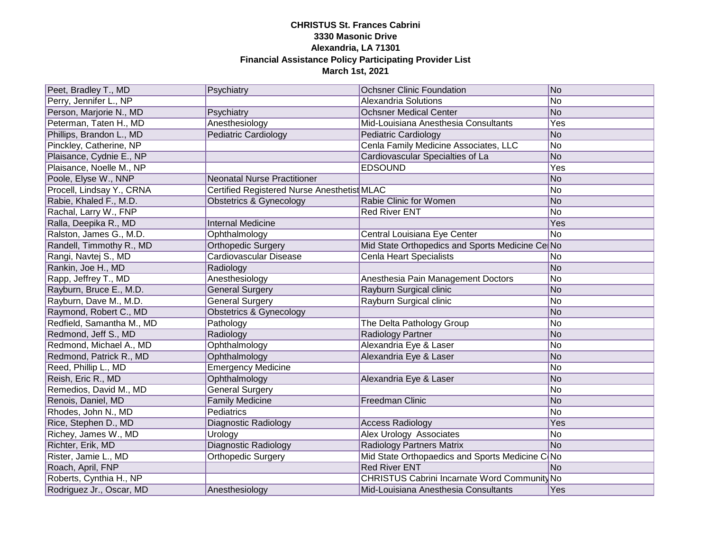| Peet, Bradley T., MD      | Psychiatry                                  | <b>Ochsner Clinic Foundation</b>                | No             |
|---------------------------|---------------------------------------------|-------------------------------------------------|----------------|
| Perry, Jennifer L., NP    |                                             | <b>Alexandria Solutions</b>                     | No             |
| Person, Marjorie N., MD   | Psychiatry                                  | <b>Ochsner Medical Center</b>                   | No             |
| Peterman, Taten H., MD    | Anesthesiology                              | Mid-Louisiana Anesthesia Consultants            | Yes            |
| Phillips, Brandon L., MD  | <b>Pediatric Cardiology</b>                 | <b>Pediatric Cardiology</b>                     | No             |
| Pinckley, Catherine, NP   |                                             | Cenla Family Medicine Associates, LLC           | No             |
| Plaisance, Cydnie E., NP  |                                             | Cardiovascular Specialties of La                | No             |
| Plaisance, Noelle M., NP  |                                             | <b>EDSOUND</b>                                  | Yes            |
| Poole, Elyse W., NNP      | <b>Neonatal Nurse Practitioner</b>          |                                                 | No             |
| Procell, Lindsay Y., CRNA | Certified Registered Nurse Anesthetist MLAC |                                                 | No             |
| Rabie, Khaled F., M.D.    | <b>Obstetrics &amp; Gynecology</b>          | Rabie Clinic for Women                          | No             |
| Rachal, Larry W., FNP     |                                             | <b>Red River ENT</b>                            | No             |
| Ralla, Deepika R., MD     | <b>Internal Medicine</b>                    |                                                 | Yes            |
| Ralston, James G., M.D.   | Ophthalmology                               | Central Louisiana Eye Center                    | No             |
| Randell, Timmothy R., MD  | <b>Orthopedic Surgery</b>                   | Mid State Orthopedics and Sports Medicine Ce No |                |
| Rangi, Navtej S., MD      | Cardiovascular Disease                      | <b>Cenla Heart Specialists</b>                  | No             |
| Rankin, Joe H., MD        | Radiology                                   |                                                 | No             |
| Rapp, Jeffrey T., MD      | Anesthesiology                              | Anesthesia Pain Management Doctors              | No             |
| Rayburn, Bruce E., M.D.   | <b>General Surgery</b>                      | Rayburn Surgical clinic                         | No             |
| Rayburn, Dave M., M.D.    | <b>General Surgery</b>                      | Rayburn Surgical clinic                         | No             |
| Raymond, Robert C., MD    | <b>Obstetrics &amp; Gynecology</b>          |                                                 | N <sub>o</sub> |
| Redfield, Samantha M., MD | Pathology                                   | The Delta Pathology Group                       | No             |
| Redmond, Jeff S., MD      | Radiology                                   | Radiology Partner                               | No             |
| Redmond, Michael A., MD   | Ophthalmology                               | Alexandria Eye & Laser                          | N <sub>o</sub> |
| Redmond, Patrick R., MD   | Ophthalmology                               | Alexandria Eye & Laser                          | <b>No</b>      |
| Reed, Phillip L., MD      | <b>Emergency Medicine</b>                   |                                                 | N <sub>o</sub> |
| Reish, Eric R., MD        | Ophthalmology                               | Alexandria Eye & Laser                          | <b>No</b>      |
| Remedios, David M., MD    | <b>General Surgery</b>                      |                                                 | No             |
| Renois, Daniel, MD        | <b>Family Medicine</b>                      | Freedman Clinic                                 | No             |
| Rhodes, John N., MD       | Pediatrics                                  |                                                 | No             |
| Rice, Stephen D., MD      | Diagnostic Radiology                        | <b>Access Radiology</b>                         | Yes            |
| Richey, James W., MD      | Urology                                     | Alex Urology Associates                         | No             |
| Richter, Erik, MD         | <b>Diagnostic Radiology</b>                 | <b>Radiology Partners Matrix</b>                | No             |
| Rister, Jamie L., MD      | <b>Orthopedic Surgery</b>                   | Mid State Orthopaedics and Sports Medicine C No |                |
| Roach, April, FNP         |                                             | <b>Red River ENT</b>                            | No             |
| Roberts, Cynthia H., NP   |                                             | CHRISTUS Cabrini Incarnate Word Community No    |                |
| Rodriguez Jr., Oscar, MD  | Anesthesiology                              | Mid-Louisiana Anesthesia Consultants            | Yes            |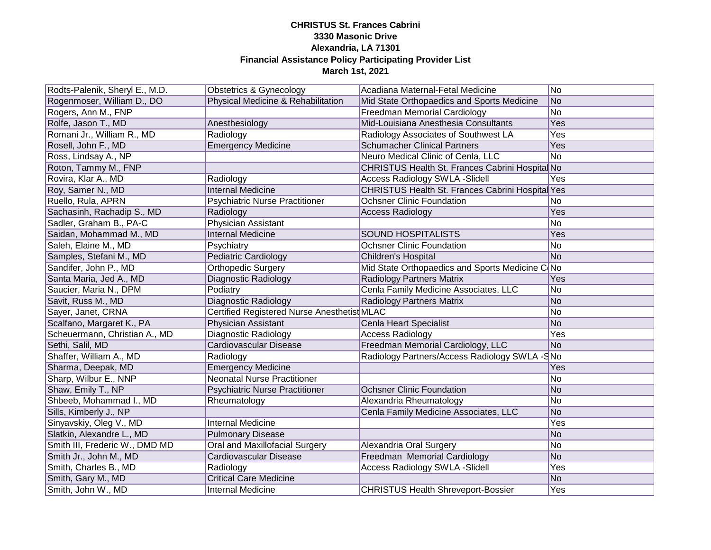| Rodts-Palenik, Sheryl E., M.D. | <b>Obstetrics &amp; Gynecology</b>          | Acadiana Maternal-Fetal Medicine                 | No              |
|--------------------------------|---------------------------------------------|--------------------------------------------------|-----------------|
| Rogenmoser, William D., DO     | Physical Medicine & Rehabilitation          | Mid State Orthopaedics and Sports Medicine       | No              |
| Rogers, Ann M., FNP            |                                             | <b>Freedman Memorial Cardiology</b>              | $\overline{No}$ |
| Rolfe, Jason T., MD            | Anesthesiology                              | Mid-Louisiana Anesthesia Consultants             | Yes             |
| Romani Jr., William R., MD     | Radiology                                   | Radiology Associates of Southwest LA             | Yes             |
| Rosell, John F., MD            | <b>Emergency Medicine</b>                   | <b>Schumacher Clinical Partners</b>              | Yes             |
| Ross, Lindsay A., NP           |                                             | Neuro Medical Clinic of Cenla, LLC               | No              |
| Roton, Tammy M., FNP           |                                             | CHRISTUS Health St. Frances Cabrini Hospita No   |                 |
| Rovira, Klar A., MD            | Radiology                                   | <b>Access Radiology SWLA -Slidell</b>            | Yes             |
| Roy, Samer N., MD              | <b>Internal Medicine</b>                    | CHRISTUS Health St. Frances Cabrini Hospital Yes |                 |
| Ruello, Rula, APRN             | <b>Psychiatric Nurse Practitioner</b>       | <b>Ochsner Clinic Foundation</b>                 | No              |
| Sachasinh, Rachadip S., MD     | Radiology                                   | <b>Access Radiology</b>                          | Yes             |
| Sadler, Graham B., PA-C        | Physician Assistant                         |                                                  | <b>No</b>       |
| Saidan, Mohammad M., MD        | <b>Internal Medicine</b>                    | SOUND HOSPITALISTS                               | Yes             |
| Saleh, Elaine M., MD           | Psychiatry                                  | <b>Ochsner Clinic Foundation</b>                 | No              |
| Samples, Stefani M., MD        | <b>Pediatric Cardiology</b>                 | <b>Children's Hospital</b>                       | No.             |
| Sandifer, John P., MD          | Orthopedic Surgery                          | Mid State Orthopaedics and Sports Medicine CONo  |                 |
| Santa Maria, Jed A., MD        | Diagnostic Radiology                        | <b>Radiology Partners Matrix</b>                 | Yes             |
| Saucier, Maria N., DPM         | Podiatry                                    | Cenla Family Medicine Associates, LLC            | No              |
| Savit, Russ M., MD             | Diagnostic Radiology                        | Radiology Partners Matrix                        | No              |
| Sayer, Janet, CRNA             | Certified Registered Nurse Anesthetist MLAC |                                                  | No              |
| Scalfano, Margaret K., PA      | Physician Assistant                         | Cenla Heart Specialist                           | No              |
| Scheuermann, Christian A., MD  | Diagnostic Radiology                        | <b>Access Radiology</b>                          | Yes             |
| Sethi, Salil, MD               | Cardiovascular Disease                      | Freedman Memorial Cardiology, LLC                | No              |
| Shaffer, William A., MD        | Radiology                                   | Radiology Partners/Access Radiology SWLA -SNo    |                 |
| Sharma, Deepak, MD             | <b>Emergency Medicine</b>                   |                                                  | Yes             |
| Sharp, Wilbur E., NNP          | <b>Neonatal Nurse Practitioner</b>          |                                                  | No              |
| Shaw, Emily T., NP             | <b>Psychiatric Nurse Practitioner</b>       | <b>Ochsner Clinic Foundation</b>                 | No              |
| Shbeeb, Mohammad I., MD        | Rheumatology                                | Alexandria Rheumatology                          | No              |
| Sills, Kimberly J., NP         |                                             | Cenla Family Medicine Associates, LLC            | No              |
| Sinyavskiy, Oleg V., MD        | <b>Internal Medicine</b>                    |                                                  | Yes             |
| Slatkin, Alexandre L., MD      | <b>Pulmonary Disease</b>                    |                                                  | No.             |
| Smith III, Frederic W., DMD MD | Oral and Maxillofacial Surgery              | Alexandria Oral Surgery                          | No              |
| Smith Jr., John M., MD         | Cardiovascular Disease                      | Freedman Memorial Cardiology                     | No              |
| Smith, Charles B., MD          | Radiology                                   | <b>Access Radiology SWLA - Slidell</b>           | Yes             |
| Smith, Gary M., MD             | <b>Critical Care Medicine</b>               |                                                  | N <sub>o</sub>  |
| Smith, John W., MD             | <b>Internal Medicine</b>                    | <b>CHRISTUS Health Shreveport-Bossier</b>        | Yes             |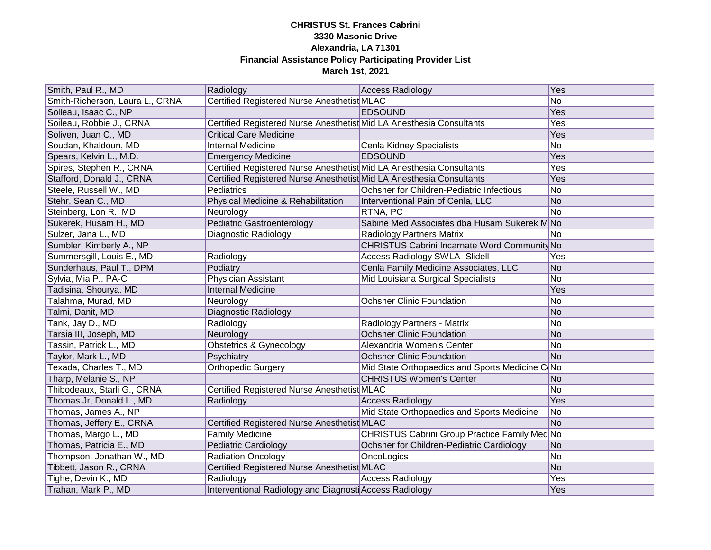| Smith, Paul R., MD              | Radiology                                                            | <b>Access Radiology</b>                         | Yes       |
|---------------------------------|----------------------------------------------------------------------|-------------------------------------------------|-----------|
| Smith-Richerson, Laura L., CRNA | Certified Registered Nurse Anesthetist MLAC                          |                                                 | No        |
| Soileau, Isaac C., NP           |                                                                      | <b>EDSOUND</b>                                  | Yes       |
| Soileau, Robbie J., CRNA        | Certified Registered Nurse Anesthetist Mid LA Anesthesia Consultants |                                                 | Yes       |
| Soliven, Juan C., MD            | <b>Critical Care Medicine</b>                                        |                                                 | Yes       |
| Soudan, Khaldoun, MD            | <b>Internal Medicine</b>                                             | Cenla Kidney Specialists                        | No        |
| Spears, Kelvin L., M.D.         | <b>Emergency Medicine</b>                                            | <b>EDSOUND</b>                                  | Yes       |
| Spires, Stephen R., CRNA        | Certified Registered Nurse Anesthetist Mid LA Anesthesia Consultants |                                                 | Yes       |
| Stafford, Donald J., CRNA       | Certified Registered Nurse Anesthetist Mid LA Anesthesia Consultants |                                                 | Yes       |
| Steele, Russell W., MD          | Pediatrics                                                           | Ochsner for Children-Pediatric Infectious       | No        |
| Stehr, Sean C., MD              | Physical Medicine & Rehabilitation                                   | Interventional Pain of Cenla, LLC               | No        |
| Steinberg, Lon R., MD           | Neurology                                                            | RTNA, PC                                        | No        |
| Sukerek, Husam H., MD           | <b>Pediatric Gastroenterology</b>                                    | Sabine Med Associates dba Husam Sukerek MNo     |           |
| Sulzer, Jana L., MD             | Diagnostic Radiology                                                 | <b>Radiology Partners Matrix</b>                | No        |
| Sumbler, Kimberly A., NP        |                                                                      | CHRISTUS Cabrini Incarnate Word Community No    |           |
| Summersgill, Louis E., MD       | Radiology                                                            | <b>Access Radiology SWLA -Slidell</b>           | Yes       |
| Sunderhaus, Paul T., DPM        | Podiatry                                                             | Cenla Family Medicine Associates, LLC           | No        |
| Sylvia, Mia P., PA-C            | <b>Physician Assistant</b>                                           | Mid Louisiana Surgical Specialists              | No        |
| Tadisina, Shourya, MD           | Internal Medicine                                                    |                                                 | Yes       |
| Talahma, Murad, MD              | Neurology                                                            | <b>Ochsner Clinic Foundation</b>                | No        |
| Talmi, Danit, MD                | Diagnostic Radiology                                                 |                                                 | No        |
| Tank, Jay D., MD                | Radiology                                                            | Radiology Partners - Matrix                     | No        |
| Tarsia III, Joseph, MD          | Neurology                                                            | <b>Ochsner Clinic Foundation</b>                | No        |
| Tassin, Patrick L., MD          | <b>Obstetrics &amp; Gynecology</b>                                   | Alexandria Women's Center                       | No        |
| Taylor, Mark L., MD             | Psychiatry                                                           | <b>Ochsner Clinic Foundation</b>                | <b>No</b> |
| Texada, Charles T., MD          | <b>Orthopedic Surgery</b>                                            | Mid State Orthopaedics and Sports Medicine C No |           |
| Tharp, Melanie S., NP           |                                                                      | <b>CHRISTUS Women's Center</b>                  | No        |
| Thibodeaux, Starli G., CRNA     | Certified Registered Nurse Anesthetist MLAC                          |                                                 | No        |
| Thomas Jr, Donald L., MD        | Radiology                                                            | <b>Access Radiology</b>                         | Yes       |
| Thomas, James A., NP            |                                                                      | Mid State Orthopaedics and Sports Medicine      | No        |
| Thomas, Jeffery E., CRNA        | Certified Registered Nurse Anesthetist MLAC                          |                                                 | No        |
| Thomas, Margo L., MD            | <b>Family Medicine</b>                                               | CHRISTUS Cabrini Group Practice Family Med No   |           |
| Thomas, Patricia E., MD         | <b>Pediatric Cardiology</b>                                          | Ochsner for Children-Pediatric Cardiology       | No        |
| Thompson, Jonathan W., MD       | <b>Radiation Oncology</b>                                            | OncoLogics                                      | No        |
| Tibbett, Jason R., CRNA         | Certified Registered Nurse Anesthetist MLAC                          |                                                 | No        |
| Tighe, Devin K., MD             | Radiology                                                            | <b>Access Radiology</b>                         | Yes       |
| Trahan, Mark P., MD             | Interventional Radiology and Diagnosti Access Radiology              |                                                 | Yes       |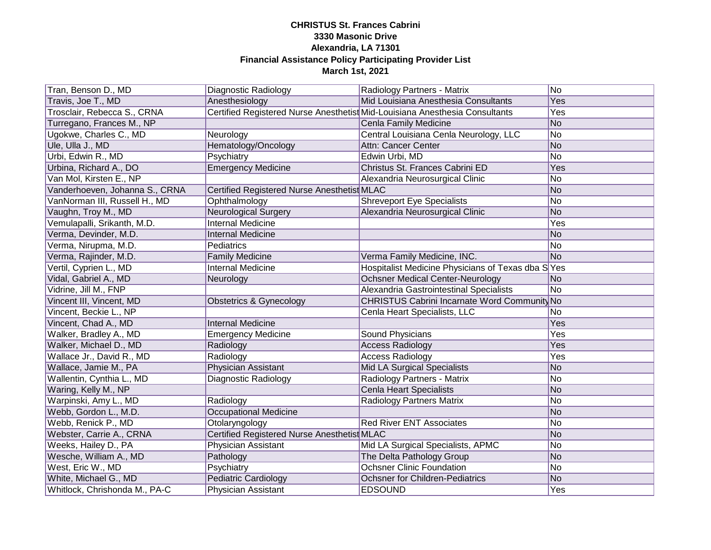| Tran, Benson D., MD            | Diagnostic Radiology                        | Radiology Partners - Matrix                                                 | No  |
|--------------------------------|---------------------------------------------|-----------------------------------------------------------------------------|-----|
| Travis, Joe T., MD             | Anesthesiology                              | Mid Louisiana Anesthesia Consultants                                        | Yes |
| Trosclair, Rebecca S., CRNA    |                                             | Certified Registered Nurse Anesthetist Mid-Louisiana Anesthesia Consultants | Yes |
| Turregano, Frances M., NP      |                                             | Cenla Family Medicine                                                       | No  |
| Ugokwe, Charles C., MD         | Neurology                                   | Central Louisiana Cenla Neurology, LLC                                      | No  |
| Ule, Ulla J., MD               | Hematology/Oncology                         | Attn: Cancer Center                                                         | No  |
| Urbi, Edwin R., MD             | Psychiatry                                  | Edwin Urbi, MD                                                              | No  |
| Urbina, Richard A., DO         | <b>Emergency Medicine</b>                   | Christus St. Frances Cabrini ED                                             | Yes |
| Van Mol, Kirsten E., NP        |                                             | Alexandria Neurosurgical Clinic                                             | No  |
| Vanderhoeven, Johanna S., CRNA | Certified Registered Nurse Anesthetist MLAC |                                                                             | No  |
| VanNorman III, Russell H., MD  | Ophthalmology                               | <b>Shreveport Eye Specialists</b>                                           | No  |
| Vaughn, Troy M., MD            | <b>Neurological Surgery</b>                 | Alexandria Neurosurgical Clinic                                             | No  |
| Vemulapalli, Srikanth, M.D.    | <b>Internal Medicine</b>                    |                                                                             | Yes |
| Verma, Devinder, M.D.          | <b>Internal Medicine</b>                    |                                                                             | No  |
| Verma, Nirupma, M.D.           | Pediatrics                                  |                                                                             | No  |
| Verma, Rajinder, M.D.          | <b>Family Medicine</b>                      | Verma Family Medicine, INC.                                                 | No  |
| Vertil, Cyprien L., MD         | <b>Internal Medicine</b>                    | Hospitalist Medicine Physicians of Texas dba SYes                           |     |
| Vidal, Gabriel A., MD          | Neurology                                   | <b>Ochsner Medical Center-Neurology</b>                                     | No  |
| Vidrine, Jill M., FNP          |                                             | Alexandria Gastrointestinal Specialists                                     | No  |
| Vincent III, Vincent, MD       | Obstetrics & Gynecology                     | CHRISTUS Cabrini Incarnate Word Community No                                |     |
| Vincent, Beckie L., NP         |                                             | Cenla Heart Specialists, LLC                                                | No  |
| Vincent, Chad A., MD           | <b>Internal Medicine</b>                    |                                                                             | Yes |
| Walker, Bradley A., MD         | <b>Emergency Medicine</b>                   | Sound Physicians                                                            | Yes |
| Walker, Michael D., MD         | Radiology                                   | <b>Access Radiology</b>                                                     | Yes |
| Wallace Jr., David R., MD      | Radiology                                   | <b>Access Radiology</b>                                                     | Yes |
| Wallace, Jamie M., PA          | Physician Assistant                         | Mid LA Surgical Specialists                                                 | No  |
| Wallentin, Cynthia L., MD      | Diagnostic Radiology                        | Radiology Partners - Matrix                                                 | No. |
| Waring, Kelly M., NP           |                                             | <b>Cenla Heart Specialists</b>                                              | No  |
| Warpinski, Amy L., MD          | Radiology                                   | <b>Radiology Partners Matrix</b>                                            | No  |
| Webb, Gordon L., M.D.          | <b>Occupational Medicine</b>                |                                                                             | No  |
| Webb, Renick P., MD            | Otolaryngology                              | <b>Red River ENT Associates</b>                                             | No  |
| Webster, Carrie A., CRNA       | Certified Registered Nurse Anesthetist MLAC |                                                                             | No  |
| Weeks, Hailey D., PA           | <b>Physician Assistant</b>                  | Mid LA Surgical Specialists, APMC                                           | No  |
| Wesche, William A., MD         | Pathology                                   | The Delta Pathology Group                                                   | No  |
| West, Eric W., MD              | Psychiatry                                  | <b>Ochsner Clinic Foundation</b>                                            | No  |
| White, Michael G., MD          | Pediatric Cardiology                        | <b>Ochsner for Children-Pediatrics</b>                                      | No  |
| Whitlock, Chrishonda M., PA-C  | <b>Physician Assistant</b>                  | <b>EDSOUND</b>                                                              | Yes |